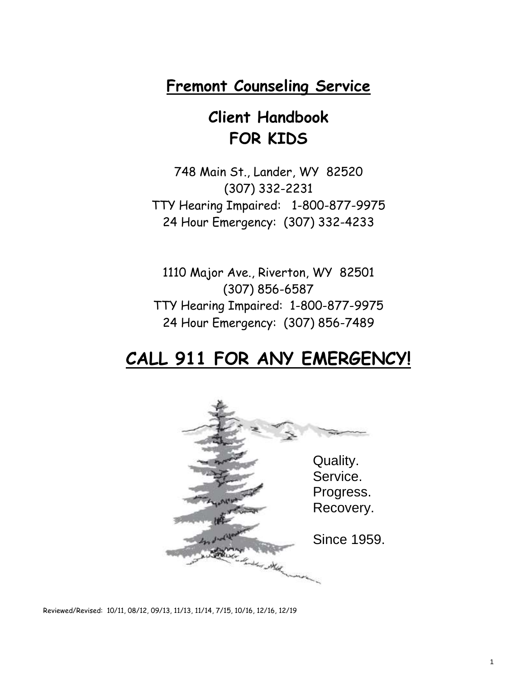## **Fremont Counseling Service**

## **Client Handbook FOR KIDS**

748 Main St., Lander, WY 82520 (307) 332-2231 TTY Hearing Impaired: 1-800-877-9975 24 Hour Emergency: (307) 332-4233

1110 Major Ave., Riverton, WY 82501 (307) 856-6587 TTY Hearing Impaired: 1-800-877-9975 24 Hour Emergency: (307) 856-7489

## **CALL 911 FOR ANY EMERGENCY!**



Reviewed/Revised: 10/11, 08/12, 09/13, 11/13, 11/14, 7/15, 10/16, 12/16, 12/19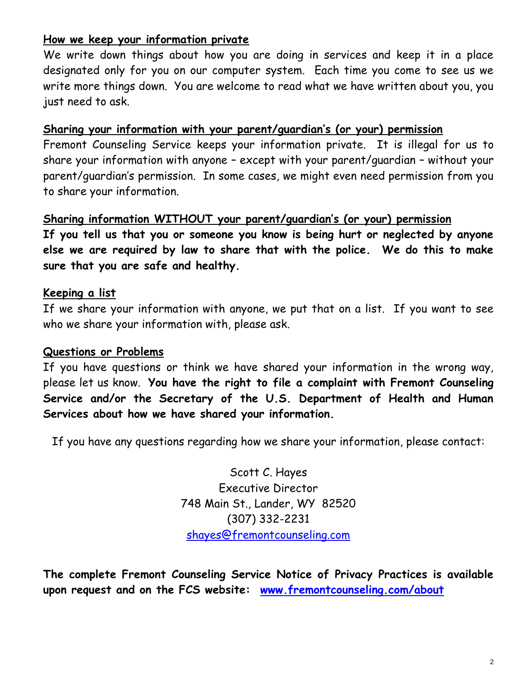### **How we keep your information private**

We write down things about how you are doing in services and keep it in a place designated only for you on our computer system. Each time you come to see us we write more things down. You are welcome to read what we have written about you, you just need to ask.

#### **Sharing your information with your parent/guardian's (or your) permission**

Fremont Counseling Service keeps your information private. It is illegal for us to share your information with anyone – except with your parent/guardian – without your parent/guardian's permission. In some cases, we might even need permission from you to share your information.

## **Sharing information WITHOUT your parent/guardian's (or your) permission**

**If you tell us that you or someone you know is being hurt or neglected by anyone else we are required by law to share that with the police. We do this to make sure that you are safe and healthy.**

### **Keeping a list**

If we share your information with anyone, we put that on a list. If you want to see who we share your information with, please ask.

### **Questions or Problems**

If you have questions or think we have shared your information in the wrong way, please let us know. **You have the right to file a complaint with Fremont Counseling Service and/or the Secretary of the U.S. Department of Health and Human Services about how we have shared your information.**

If you have any questions regarding how we share your information, please contact:

Scott C. Hayes Executive Director 748 Main St., Lander, WY 82520 (307) 332-2231 [shayes@fremontcounseling.com](mailto:shayes@fremontcounseling.com)

**The complete Fremont Counseling Service Notice of Privacy Practices is available upon request and on the FCS website: [www.fremontcounseling.com/about](http://www.fremontcounseling.com/about)**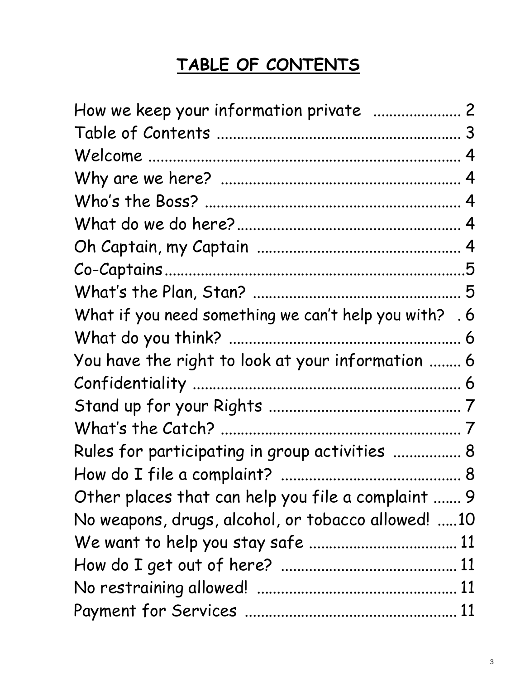# **TABLE OF CONTENTS**

| How we keep your information private  2                |  |
|--------------------------------------------------------|--|
|                                                        |  |
|                                                        |  |
|                                                        |  |
|                                                        |  |
|                                                        |  |
|                                                        |  |
|                                                        |  |
|                                                        |  |
| What if you need something we can't help you with? . 6 |  |
|                                                        |  |
| You have the right to look at your information  6      |  |
|                                                        |  |
|                                                        |  |
|                                                        |  |
| Rules for participating in group activities  8         |  |
|                                                        |  |
| Other places that can help you file a complaint  9     |  |
| No weapons, drugs, alcohol, or tobacco allowed! 10     |  |
|                                                        |  |
|                                                        |  |
|                                                        |  |
|                                                        |  |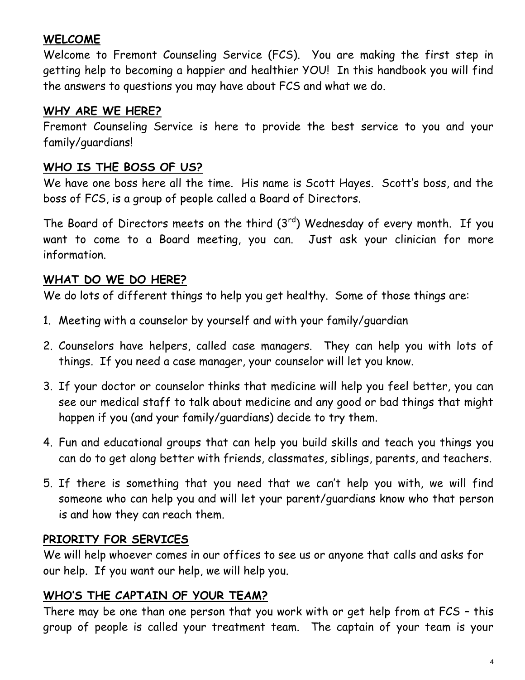### **WELCOME**

Welcome to Fremont Counseling Service (FCS). You are making the first step in getting help to becoming a happier and healthier YOU! In this handbook you will find the answers to questions you may have about FCS and what we do.

### **WHY ARE WE HERE?**

Fremont Counseling Service is here to provide the best service to you and your family/guardians!

#### **WHO IS THE BOSS OF US?**

We have one boss here all the time. His name is Scott Hayes. Scott's boss, and the boss of FCS, is a group of people called a Board of Directors.

The Board of Directors meets on the third  $(3<sup>rd</sup>)$  Wednesday of every month. If you want to come to a Board meeting, you can. Just ask your clinician for more information.

### **WHAT DO WE DO HERE?**

We do lots of different things to help you get healthy. Some of those things are:

- 1. Meeting with a counselor by yourself and with your family/guardian
- 2. Counselors have helpers, called case managers. They can help you with lots of things. If you need a case manager, your counselor will let you know.
- 3. If your doctor or counselor thinks that medicine will help you feel better, you can see our medical staff to talk about medicine and any good or bad things that might happen if you (and your family/guardians) decide to try them.
- 4. Fun and educational groups that can help you build skills and teach you things you can do to get along better with friends, classmates, siblings, parents, and teachers.
- 5. If there is something that you need that we can't help you with, we will find someone who can help you and will let your parent/guardians know who that person is and how they can reach them.

### **PRIORITY FOR SERVICES**

We will help whoever comes in our offices to see us or anyone that calls and asks for our help. If you want our help, we will help you.

### **WHO'S THE CAPTAIN OF YOUR TEAM?**

There may be one than one person that you work with or get help from at FCS – this group of people is called your treatment team. The captain of your team is your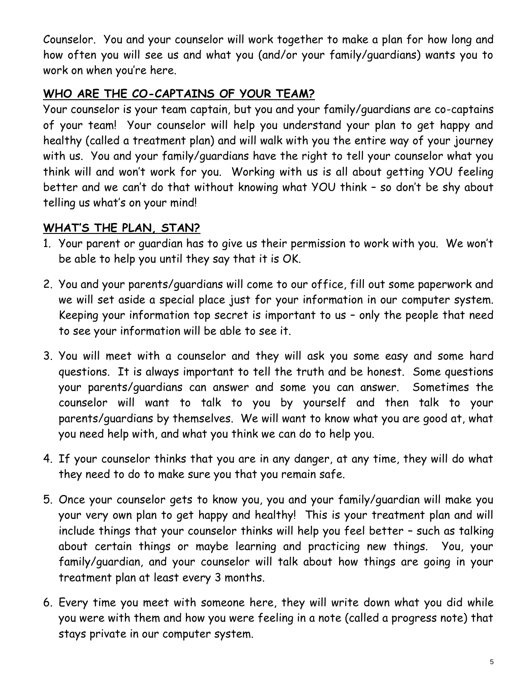Counselor. You and your counselor will work together to make a plan for how long and how often you will see us and what you (and/or your family/guardians) wants you to work on when you're here.

## **WHO ARE THE CO-CAPTAINS OF YOUR TEAM?**

Your counselor is your team captain, but you and your family/guardians are co-captains of your team! Your counselor will help you understand your plan to get happy and healthy (called a treatment plan) and will walk with you the entire way of your journey with us. You and your family/guardians have the right to tell your counselor what you think will and won't work for you. Working with us is all about getting YOU feeling better and we can't do that without knowing what YOU think – so don't be shy about telling us what's on your mind!

## **WHAT'S THE PLAN, STAN?**

- 1. Your parent or guardian has to give us their permission to work with you. We won't be able to help you until they say that it is OK.
- 2. You and your parents/guardians will come to our office, fill out some paperwork and we will set aside a special place just for your information in our computer system. Keeping your information top secret is important to us – only the people that need to see your information will be able to see it.
- 3. You will meet with a counselor and they will ask you some easy and some hard questions. It is always important to tell the truth and be honest. Some questions your parents/guardians can answer and some you can answer. Sometimes the counselor will want to talk to you by yourself and then talk to your parents/guardians by themselves. We will want to know what you are good at, what you need help with, and what you think we can do to help you.
- 4. If your counselor thinks that you are in any danger, at any time, they will do what they need to do to make sure you that you remain safe.
- 5. Once your counselor gets to know you, you and your family/guardian will make you your very own plan to get happy and healthy! This is your treatment plan and will include things that your counselor thinks will help you feel better – such as talking about certain things or maybe learning and practicing new things. You, your family/guardian, and your counselor will talk about how things are going in your treatment plan at least every 3 months.
- 6. Every time you meet with someone here, they will write down what you did while you were with them and how you were feeling in a note (called a progress note) that stays private in our computer system.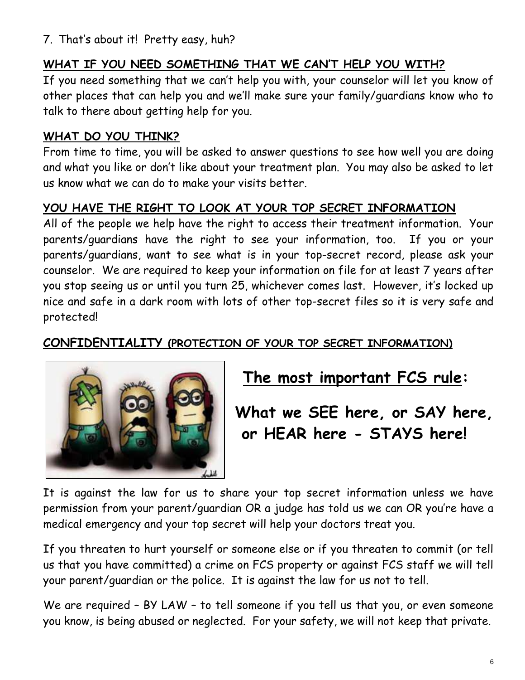7. That's about it! Pretty easy, huh?

## **WHAT IF YOU NEED SOMETHING THAT WE CAN'T HELP YOU WITH?**

If you need something that we can't help you with, your counselor will let you know of other places that can help you and we'll make sure your family/guardians know who to talk to there about getting help for you.

### **WHAT DO YOU THINK?**

From time to time, you will be asked to answer questions to see how well you are doing and what you like or don't like about your treatment plan. You may also be asked to let us know what we can do to make your visits better.

### **YOU HAVE THE RIGHT TO LOOK AT YOUR TOP SECRET INFORMATION**

All of the people we help have the right to access their treatment information. Your parents/guardians have the right to see your information, too. If you or your parents/guardians, want to see what is in your top-secret record, please ask your counselor. We are required to keep your information on file for at least 7 years after you stop seeing us or until you turn 25, whichever comes last. However, it's locked up nice and safe in a dark room with lots of other top-secret files so it is very safe and protected!

## **CONFIDENTIALITY (PROTECTION OF YOUR TOP SECRET INFORMATION)**



## **The most important FCS rule:**

**What we SEE here, or SAY here, or HEAR here - STAYS here!** 

It is against the law for us to share your top secret information unless we have permission from your parent/guardian OR a judge has told us we can OR you're have a medical emergency and your top secret will help your doctors treat you.

If you threaten to hurt yourself or someone else or if you threaten to commit (or tell us that you have committed) a crime on FCS property or against FCS staff we will tell your parent/guardian or the police. It is against the law for us not to tell.

We are required - BY LAW - to tell someone if you tell us that you, or even someone you know, is being abused or neglected. For your safety, we will not keep that private.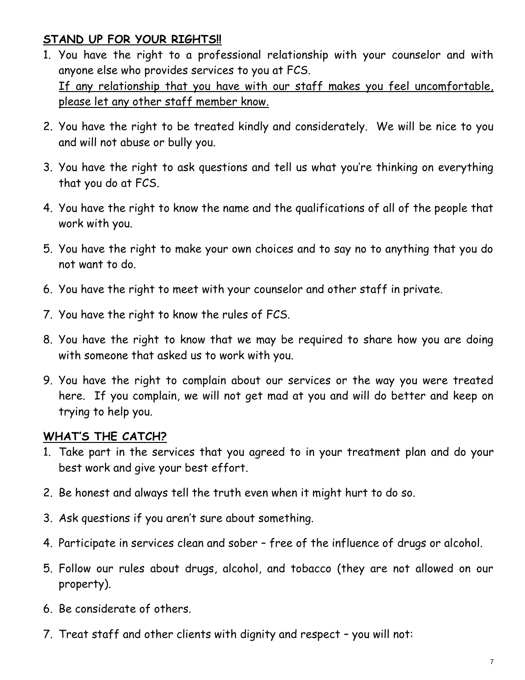### **STAND UP FOR YOUR RIGHTS!!**

- 1. You have the right to a professional relationship with your counselor and with anyone else who provides services to you at FCS. If any relationship that you have with our staff makes you feel uncomfortable, please let any other staff member know.
- 2. You have the right to be treated kindly and considerately. We will be nice to you and will not abuse or bully you.
- 3. You have the right to ask questions and tell us what you're thinking on everything that you do at FCS.
- 4. You have the right to know the name and the qualifications of all of the people that work with you.
- 5. You have the right to make your own choices and to say no to anything that you do not want to do.
- 6. You have the right to meet with your counselor and other staff in private.
- 7. You have the right to know the rules of FCS.
- 8. You have the right to know that we may be required to share how you are doing with someone that asked us to work with you.
- 9. You have the right to complain about our services or the way you were treated here. If you complain, we will not get mad at you and will do better and keep on trying to help you.

### **WHAT'S THE CATCH?**

- 1. Take part in the services that you agreed to in your treatment plan and do your best work and give your best effort.
- 2. Be honest and always tell the truth even when it might hurt to do so.
- 3. Ask questions if you aren't sure about something.
- 4. Participate in services clean and sober free of the influence of drugs or alcohol.
- 5. Follow our rules about drugs, alcohol, and tobacco (they are not allowed on our property).
- 6. Be considerate of others.
- 7. Treat staff and other clients with dignity and respect you will not: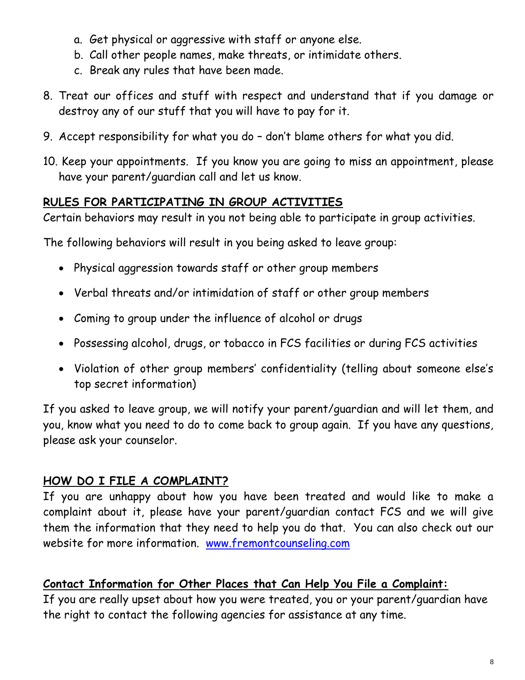- a. Get physical or aggressive with staff or anyone else.
- b. Call other people names, make threats, or intimidate others.
- c. Break any rules that have been made.
- 8. Treat our offices and stuff with respect and understand that if you damage or destroy any of our stuff that you will have to pay for it.
- 9. Accept responsibility for what you do don't blame others for what you did.
- 10. Keep your appointments. If you know you are going to miss an appointment, please have your parent/guardian call and let us know.

### **RULES FOR PARTICIPATING IN GROUP ACTIVITIES**

Certain behaviors may result in you not being able to participate in group activities.

The following behaviors will result in you being asked to leave group:

- Physical aggression towards staff or other group members
- Verbal threats and/or intimidation of staff or other group members
- Coming to group under the influence of alcohol or drugs
- Possessing alcohol, drugs, or tobacco in FCS facilities or during FCS activities
- Violation of other group members' confidentiality (telling about someone else's top secret information)

If you asked to leave group, we will notify your parent/guardian and will let them, and you, know what you need to do to come back to group again. If you have any questions, please ask your counselor.

## **HOW DO I FILE A COMPLAINT?**

If you are unhappy about how you have been treated and would like to make a complaint about it, please have your parent/guardian contact FCS and we will give them the information that they need to help you do that. You can also check out our website for more information. [www.fremontcounseling.com](http://www.fremontcounseling.com/)

### **Contact Information for Other Places that Can Help You File a Complaint:**

If you are really upset about how you were treated, you or your parent/guardian have the right to contact the following agencies for assistance at any time.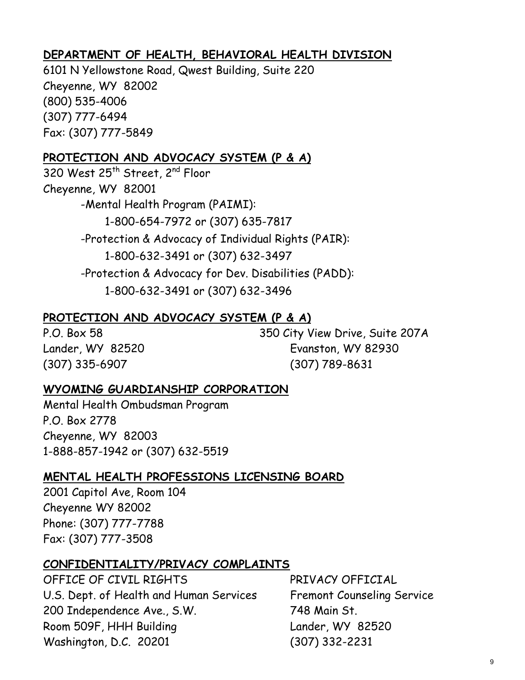### **DEPARTMENT OF HEALTH, BEHAVIORAL HEALTH DIVISION**

6101 N Yellowstone Road, Qwest Building, Suite 220 Cheyenne, WY 82002 (800) 535-4006 (307) 777-6494 Fax: (307) 777-5849

### **PROTECTION AND ADVOCACY SYSTEM (P & A)**

320 West 25<sup>th</sup> Street, 2<sup>nd</sup> Floor Cheyenne, WY 82001 -Mental Health Program (PAIMI): 1-800-654-7972 or (307) 635-7817 -Protection & Advocacy of Individual Rights (PAIR): 1-800-632-3491 or (307) 632-3497 -Protection & Advocacy for Dev. Disabilities (PADD): 1-800-632-3491 or (307) 632-3496

### **PROTECTION AND ADVOCACY SYSTEM (P & A)**

P.O. Box 58 350 City View Drive, Suite 207A Lander, WY 82520 Evanston, WY 82930 (307) 335-6907 (307) 789-8631

### **WYOMING GUARDIANSHIP CORPORATION**

Mental Health Ombudsman Program P.O. Box 2778 Cheyenne, WY 82003 1-888-857-1942 or (307) 632-5519

#### **MENTAL HEALTH PROFESSIONS LICENSING BOARD**

2001 Capitol Ave, Room 104 Cheyenne WY 82002 Phone: (307) 777-7788 Fax: (307) 777-3508

### **CONFIDENTIALITY/PRIVACY COMPLAINTS**

OFFICE OF CIVIL RIGHTS PRIVACY OFFICIAL U.S. Dept. of Health and Human Services Fremont Counseling Service 200 Independence Ave., S.W. 748 Main St. Room 509F, HHH Building Lander, WY 82520 Washington, D.C. 20201 (307) 332-2231